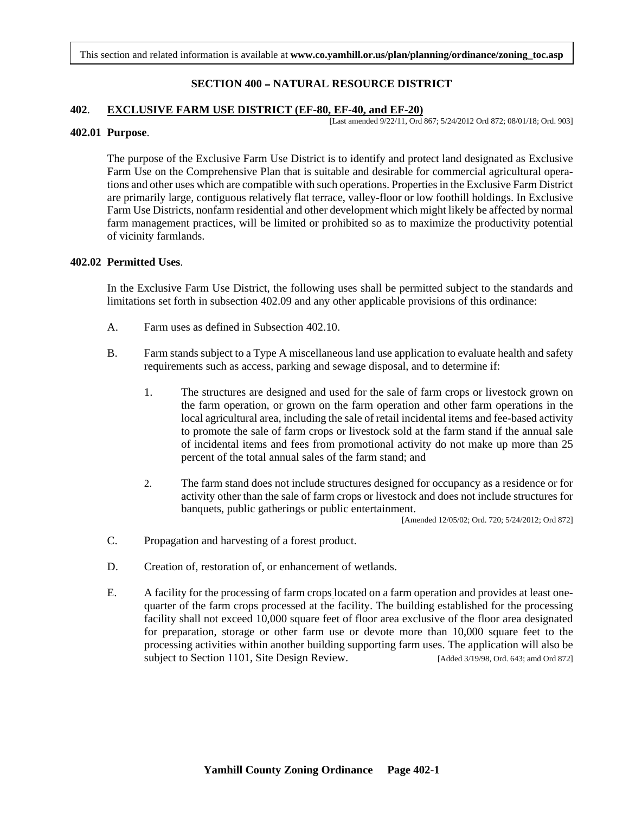# **SECTION 400 - NATURAL RESOURCE DISTRICT**

## **402**. **EXCLUSIVE FARM USE DISTRICT (EF-80, EF-40, and EF-20)**

[Last amended 9/22/11, Ord 867; 5/24/2012 Ord 872; 08/01/18; Ord. 903]

#### **402.01 Purpose**.

The purpose of the Exclusive Farm Use District is to identify and protect land designated as Exclusive Farm Use on the Comprehensive Plan that is suitable and desirable for commercial agricultural operations and other uses which are compatible with such operations. Properties in the Exclusive Farm District are primarily large, contiguous relatively flat terrace, valley-floor or low foothill holdings. In Exclusive Farm Use Districts, nonfarm residential and other development which might likely be affected by normal farm management practices, will be limited or prohibited so as to maximize the productivity potential of vicinity farmlands.

### **402.02 Permitted Uses**.

In the Exclusive Farm Use District, the following uses shall be permitted subject to the standards and limitations set forth in subsection 402.09 and any other applicable provisions of this ordinance:

- A. Farm uses as defined in Subsection 402.10.
- B. Farm stands subject to a Type A miscellaneous land use application to evaluate health and safety requirements such as access, parking and sewage disposal, and to determine if:
	- 1. The structures are designed and used for the sale of farm crops or livestock grown on the farm operation, or grown on the farm operation and other farm operations in the local agricultural area, including the sale of retail incidental items and fee-based activity to promote the sale of farm crops or livestock sold at the farm stand if the annual sale of incidental items and fees from promotional activity do not make up more than 25 percent of the total annual sales of the farm stand; and
	- 2. The farm stand does not include structures designed for occupancy as a residence or for activity other than the sale of farm crops or livestock and does not include structures for banquets, public gatherings or public entertainment.

[Amended 12/05/02; Ord. 720; 5/24/2012; Ord 872]

- C. Propagation and harvesting of a forest product.
- D. Creation of, restoration of, or enhancement of wetlands.
- E. A facility for the processing of farm crops located on a farm operation and provides at least onequarter of the farm crops processed at the facility. The building established for the processing facility shall not exceed 10,000 square feet of floor area exclusive of the floor area designated for preparation, storage or other farm use or devote more than 10,000 square feet to the processing activities within another building supporting farm uses. The application will also be subject to Section 1101, Site Design Review. [Added 3/19/98, Ord. 643; amd Ord 872]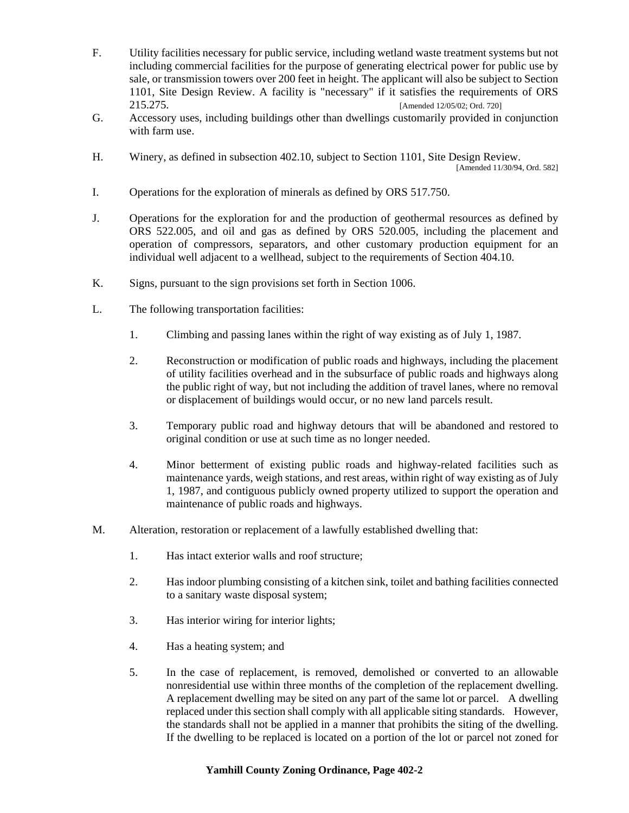- F. Utility facilities necessary for public service, including wetland waste treatment systems but not including commercial facilities for the purpose of generating electrical power for public use by sale, or transmission towers over 200 feet in height. The applicant will also be subject to Section 1101, Site Design Review. A facility is "necessary" if it satisfies the requirements of ORS 215.275. [Amended 12/05/02; Ord. 720]
- G. Accessory uses, including buildings other than dwellings customarily provided in conjunction with farm use.
- H. Winery, as defined in subsection 402.10, subject to Section 1101, Site Design Review. [Amended 11/30/94, Ord. 582]
- I. Operations for the exploration of minerals as defined by ORS 517.750.
- J. Operations for the exploration for and the production of geothermal resources as defined by ORS 522.005, and oil and gas as defined by ORS 520.005, including the placement and operation of compressors, separators, and other customary production equipment for an individual well adjacent to a wellhead, subject to the requirements of Section 404.10.
- K. Signs, pursuant to the sign provisions set forth in Section 1006.
- L. The following transportation facilities:
	- 1. Climbing and passing lanes within the right of way existing as of July 1, 1987.
	- 2. Reconstruction or modification of public roads and highways, including the placement of utility facilities overhead and in the subsurface of public roads and highways along the public right of way, but not including the addition of travel lanes, where no removal or displacement of buildings would occur, or no new land parcels result.
	- 3. Temporary public road and highway detours that will be abandoned and restored to original condition or use at such time as no longer needed.
	- 4. Minor betterment of existing public roads and highway-related facilities such as maintenance yards, weigh stations, and rest areas, within right of way existing as of July 1, 1987, and contiguous publicly owned property utilized to support the operation and maintenance of public roads and highways.
- M. Alteration, restoration or replacement of a lawfully established dwelling that:
	- 1. Has intact exterior walls and roof structure;
	- 2. Has indoor plumbing consisting of a kitchen sink, toilet and bathing facilities connected to a sanitary waste disposal system;
	- 3. Has interior wiring for interior lights;
	- 4. Has a heating system; and
	- 5. In the case of replacement, is removed, demolished or converted to an allowable nonresidential use within three months of the completion of the replacement dwelling. A replacement dwelling may be sited on any part of the same lot or parcel. A dwelling replaced under this section shall comply with all applicable siting standards. However, the standards shall not be applied in a manner that prohibits the siting of the dwelling. If the dwelling to be replaced is located on a portion of the lot or parcel not zoned for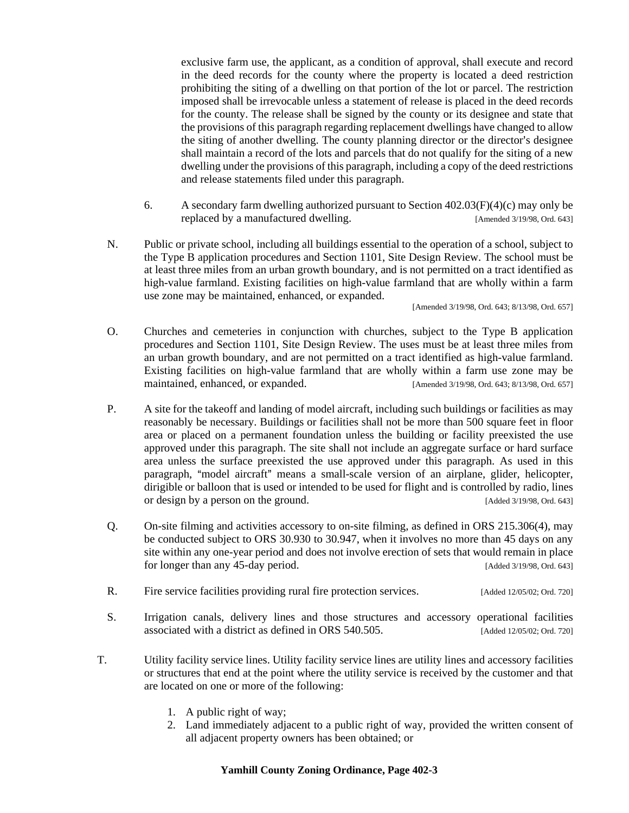exclusive farm use, the applicant, as a condition of approval, shall execute and record in the deed records for the county where the property is located a deed restriction prohibiting the siting of a dwelling on that portion of the lot or parcel. The restriction imposed shall be irrevocable unless a statement of release is placed in the deed records for the county. The release shall be signed by the county or its designee and state that the provisions of this paragraph regarding replacement dwellings have changed to allow the siting of another dwelling. The county planning director or the director's designee shall maintain a record of the lots and parcels that do not qualify for the siting of a new dwelling under the provisions of this paragraph, including a copy of the deed restrictions and release statements filed under this paragraph.

- 6. A secondary farm dwelling authorized pursuant to Section  $402.03(F)(4)(c)$  may only be replaced by a manufactured dwelling. [Amended 3/19/98, Ord. 643]
- N. Public or private school, including all buildings essential to the operation of a school, subject to the Type B application procedures and Section 1101, Site Design Review. The school must be at least three miles from an urban growth boundary, and is not permitted on a tract identified as high-value farmland. Existing facilities on high-value farmland that are wholly within a farm use zone may be maintained, enhanced, or expanded.

[Amended 3/19/98, Ord. 643; 8/13/98, Ord. 657]

- O. Churches and cemeteries in conjunction with churches, subject to the Type B application procedures and Section 1101, Site Design Review. The uses must be at least three miles from an urban growth boundary, and are not permitted on a tract identified as high-value farmland. Existing facilities on high-value farmland that are wholly within a farm use zone may be maintained, enhanced, or expanded. [Amended 3/19/98, Ord. 643; 8/13/98, Ord. 657]
- P. A site for the takeoff and landing of model aircraft, including such buildings or facilities as may reasonably be necessary. Buildings or facilities shall not be more than 500 square feet in floor area or placed on a permanent foundation unless the building or facility preexisted the use approved under this paragraph. The site shall not include an aggregate surface or hard surface area unless the surface preexisted the use approved under this paragraph. As used in this paragraph, "model aircraft" means a small-scale version of an airplane, glider, helicopter, dirigible or balloon that is used or intended to be used for flight and is controlled by radio, lines or design by a person on the ground. [Added 3/19/98, Ord. 643]
- Q. On-site filming and activities accessory to on-site filming, as defined in ORS 215.306(4), may be conducted subject to ORS 30.930 to 30.947, when it involves no more than 45 days on any site within any one-year period and does not involve erection of sets that would remain in place for longer than any 45-day period. [Added 3/19/98, Ord. 643]
- R. Fire service facilities providing rural fire protection services. [Added 12/05/02; Ord. 720]
- S. Irrigation canals, delivery lines and those structures and accessory operational facilities associated with a district as defined in ORS 540.505. [Added 12/05/02; Ord. 720]
- T. Utility facility service lines. Utility facility service lines are utility lines and accessory facilities or structures that end at the point where the utility service is received by the customer and that are located on one or more of the following:
	- 1. A public right of way;
	- 2. Land immediately adjacent to a public right of way, provided the written consent of all adjacent property owners has been obtained; or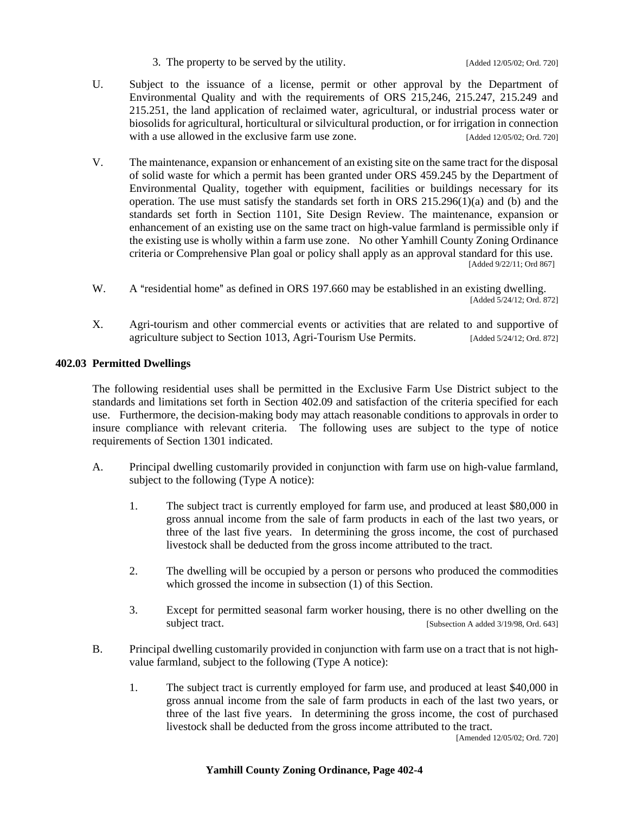3. The property to be served by the utility. [Added 12/05/02; Ord. 720]

- U. Subject to the issuance of a license, permit or other approval by the Department of Environmental Quality and with the requirements of ORS 215,246, 215.247, 215.249 and 215.251, the land application of reclaimed water, agricultural, or industrial process water or biosolids for agricultural, horticultural or silvicultural production, or for irrigation in connection with a use allowed in the exclusive farm use zone. [Added 12/05/02; Ord. 720]
- V. The maintenance, expansion or enhancement of an existing site on the same tract for the disposal of solid waste for which a permit has been granted under ORS 459.245 by the Department of Environmental Quality, together with equipment, facilities or buildings necessary for its operation. The use must satisfy the standards set forth in ORS  $215.296(1)(a)$  and (b) and the standards set forth in Section 1101, Site Design Review. The maintenance, expansion or enhancement of an existing use on the same tract on high-value farmland is permissible only if the existing use is wholly within a farm use zone. No other Yamhill County Zoning Ordinance criteria or Comprehensive Plan goal or policy shall apply as an approval standard for this use. [Added 9/22/11; Ord 867]
- W. A "residential home" as defined in ORS 197.660 may be established in an existing dwelling. [Added 5/24/12; Ord. 872]
- X. Agri-tourism and other commercial events or activities that are related to and supportive of agriculture subject to Section 1013, Agri-Tourism Use Permits. [Added 5/24/12; Ord. 872]

# **402.03 Permitted Dwellings**

The following residential uses shall be permitted in the Exclusive Farm Use District subject to the standards and limitations set forth in Section 402.09 and satisfaction of the criteria specified for each use. Furthermore, the decision-making body may attach reasonable conditions to approvals in order to insure compliance with relevant criteria. The following uses are subject to the type of notice requirements of Section 1301 indicated.

- A. Principal dwelling customarily provided in conjunction with farm use on high-value farmland, subject to the following (Type A notice):
	- 1. The subject tract is currently employed for farm use, and produced at least \$80,000 in gross annual income from the sale of farm products in each of the last two years, or three of the last five years. In determining the gross income, the cost of purchased livestock shall be deducted from the gross income attributed to the tract.
	- 2. The dwelling will be occupied by a person or persons who produced the commodities which grossed the income in subsection (1) of this Section.
	- 3. Except for permitted seasonal farm worker housing, there is no other dwelling on the subject tract. [Subsection A added 3/19/98, Ord. 643]
- B. Principal dwelling customarily provided in conjunction with farm use on a tract that is not highvalue farmland, subject to the following (Type A notice):
	- 1. The subject tract is currently employed for farm use, and produced at least \$40,000 in gross annual income from the sale of farm products in each of the last two years, or three of the last five years. In determining the gross income, the cost of purchased livestock shall be deducted from the gross income attributed to the tract.

[Amended 12/05/02; Ord. 720]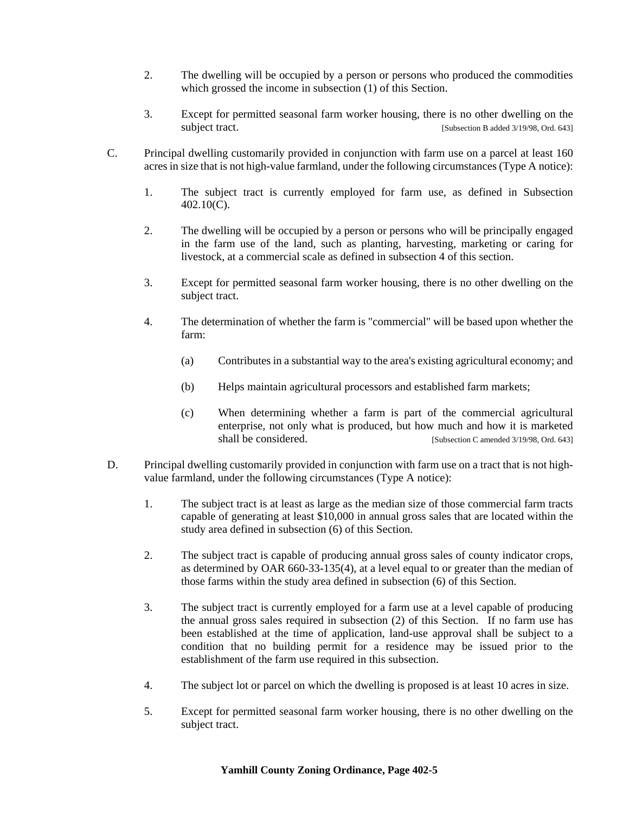- 2. The dwelling will be occupied by a person or persons who produced the commodities which grossed the income in subsection (1) of this Section.
- 3. Except for permitted seasonal farm worker housing, there is no other dwelling on the subject tract. [Subsection B added 3/19/98, Ord. 643]
- C. Principal dwelling customarily provided in conjunction with farm use on a parcel at least 160 acres in size that is not high-value farmland, under the following circumstances (Type A notice):
	- 1. The subject tract is currently employed for farm use, as defined in Subsection 402.10(C).
	- 2. The dwelling will be occupied by a person or persons who will be principally engaged in the farm use of the land, such as planting, harvesting, marketing or caring for livestock, at a commercial scale as defined in subsection 4 of this section.
	- 3. Except for permitted seasonal farm worker housing, there is no other dwelling on the subject tract.
	- 4. The determination of whether the farm is "commercial" will be based upon whether the farm:
		- (a) Contributes in a substantial way to the area's existing agricultural economy; and
		- (b) Helps maintain agricultural processors and established farm markets;
		- (c) When determining whether a farm is part of the commercial agricultural enterprise, not only what is produced, but how much and how it is marketed shall be considered. [Subsection C amended 3/19/98, Ord. 643]
- D. Principal dwelling customarily provided in conjunction with farm use on a tract that is not highvalue farmland, under the following circumstances (Type A notice):
	- 1. The subject tract is at least as large as the median size of those commercial farm tracts capable of generating at least \$10,000 in annual gross sales that are located within the study area defined in subsection (6) of this Section.
	- 2. The subject tract is capable of producing annual gross sales of county indicator crops, as determined by OAR 660-33-135(4), at a level equal to or greater than the median of those farms within the study area defined in subsection (6) of this Section.
	- 3. The subject tract is currently employed for a farm use at a level capable of producing the annual gross sales required in subsection (2) of this Section. If no farm use has been established at the time of application, land-use approval shall be subject to a condition that no building permit for a residence may be issued prior to the establishment of the farm use required in this subsection.
	- 4. The subject lot or parcel on which the dwelling is proposed is at least 10 acres in size.
	- 5. Except for permitted seasonal farm worker housing, there is no other dwelling on the subject tract.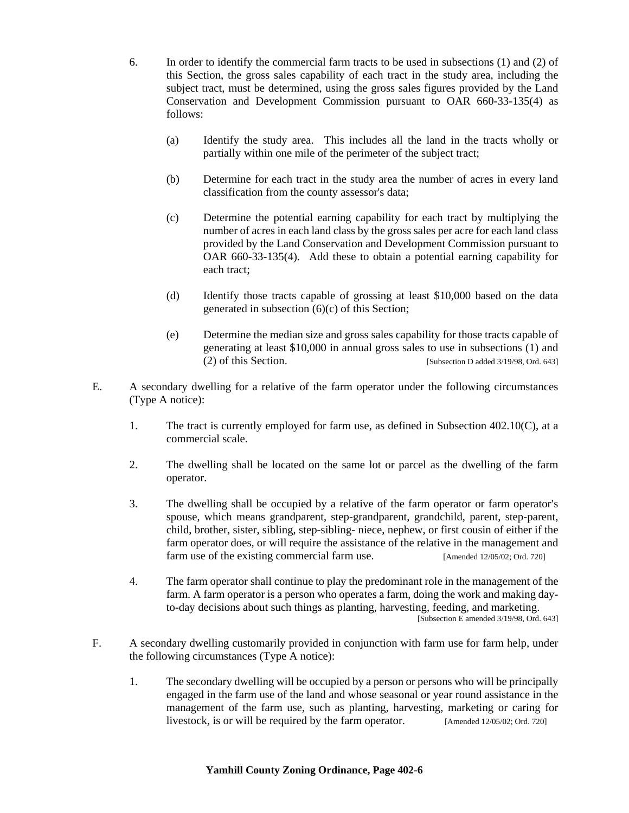- 6. In order to identify the commercial farm tracts to be used in subsections (1) and (2) of this Section, the gross sales capability of each tract in the study area, including the subject tract, must be determined, using the gross sales figures provided by the Land Conservation and Development Commission pursuant to OAR 660-33-135(4) as follows:
	- (a) Identify the study area. This includes all the land in the tracts wholly or partially within one mile of the perimeter of the subject tract;
	- (b) Determine for each tract in the study area the number of acres in every land classification from the county assessor's data;
	- (c) Determine the potential earning capability for each tract by multiplying the number of acres in each land class by the gross sales per acre for each land class provided by the Land Conservation and Development Commission pursuant to OAR 660-33-135(4). Add these to obtain a potential earning capability for each tract;
	- (d) Identify those tracts capable of grossing at least \$10,000 based on the data generated in subsection (6)(c) of this Section;
	- (e) Determine the median size and gross sales capability for those tracts capable of generating at least \$10,000 in annual gross sales to use in subsections (1) and (2) of this Section. [Subsection D added 3/19/98, Ord. 643]
- E. A secondary dwelling for a relative of the farm operator under the following circumstances (Type A notice):
	- 1. The tract is currently employed for farm use, as defined in Subsection 402.10(C), at a commercial scale.
	- 2. The dwelling shall be located on the same lot or parcel as the dwelling of the farm operator.
	- 3. The dwelling shall be occupied by a relative of the farm operator or farm operator's spouse, which means grandparent, step-grandparent, grandchild, parent, step-parent, child, brother, sister, sibling, step-sibling- niece, nephew, or first cousin of either if the farm operator does, or will require the assistance of the relative in the management and farm use of the existing commercial farm use. [Amended 12/05/02; Ord. 720]
	- 4. The farm operator shall continue to play the predominant role in the management of the farm. A farm operator is a person who operates a farm, doing the work and making dayto-day decisions about such things as planting, harvesting, feeding, and marketing. [Subsection E amended 3/19/98, Ord. 643]
- F. A secondary dwelling customarily provided in conjunction with farm use for farm help, under the following circumstances (Type A notice):
	- 1. The secondary dwelling will be occupied by a person or persons who will be principally engaged in the farm use of the land and whose seasonal or year round assistance in the management of the farm use, such as planting, harvesting, marketing or caring for livestock, is or will be required by the farm operator. [Amended 12/05/02; Ord. 720]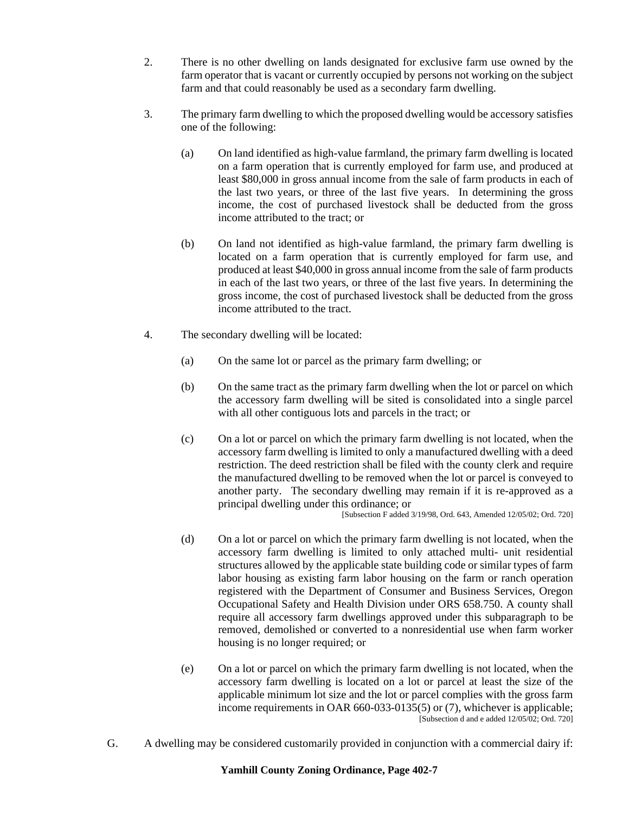- 2. There is no other dwelling on lands designated for exclusive farm use owned by the farm operator that is vacant or currently occupied by persons not working on the subject farm and that could reasonably be used as a secondary farm dwelling.
- 3. The primary farm dwelling to which the proposed dwelling would be accessory satisfies one of the following:
	- (a) On land identified as high-value farmland, the primary farm dwelling is located on a farm operation that is currently employed for farm use, and produced at least \$80,000 in gross annual income from the sale of farm products in each of the last two years, or three of the last five years. In determining the gross income, the cost of purchased livestock shall be deducted from the gross income attributed to the tract; or
	- (b) On land not identified as high-value farmland, the primary farm dwelling is located on a farm operation that is currently employed for farm use, and produced at least \$40,000 in gross annual income from the sale of farm products in each of the last two years, or three of the last five years. In determining the gross income, the cost of purchased livestock shall be deducted from the gross income attributed to the tract.
- 4. The secondary dwelling will be located:
	- (a) On the same lot or parcel as the primary farm dwelling; or
	- (b) On the same tract as the primary farm dwelling when the lot or parcel on which the accessory farm dwelling will be sited is consolidated into a single parcel with all other contiguous lots and parcels in the tract; or
	- (c) On a lot or parcel on which the primary farm dwelling is not located, when the accessory farm dwelling is limited to only a manufactured dwelling with a deed restriction. The deed restriction shall be filed with the county clerk and require the manufactured dwelling to be removed when the lot or parcel is conveyed to another party. The secondary dwelling may remain if it is re-approved as a principal dwelling under this ordinance; or

[Subsection F added 3/19/98, Ord. 643, Amended 12/05/02; Ord. 720]

- (d) On a lot or parcel on which the primary farm dwelling is not located, when the accessory farm dwelling is limited to only attached multi- unit residential structures allowed by the applicable state building code or similar types of farm labor housing as existing farm labor housing on the farm or ranch operation registered with the Department of Consumer and Business Services, Oregon Occupational Safety and Health Division under ORS 658.750. A county shall require all accessory farm dwellings approved under this subparagraph to be removed, demolished or converted to a nonresidential use when farm worker housing is no longer required; or
- (e) On a lot or parcel on which the primary farm dwelling is not located, when the accessory farm dwelling is located on a lot or parcel at least the size of the applicable minimum lot size and the lot or parcel complies with the gross farm income requirements in OAR 660-033-0135(5) or (7), whichever is applicable; [Subsection d and e added  $12/05/02$ ; Ord. 720]
- G. A dwelling may be considered customarily provided in conjunction with a commercial dairy if: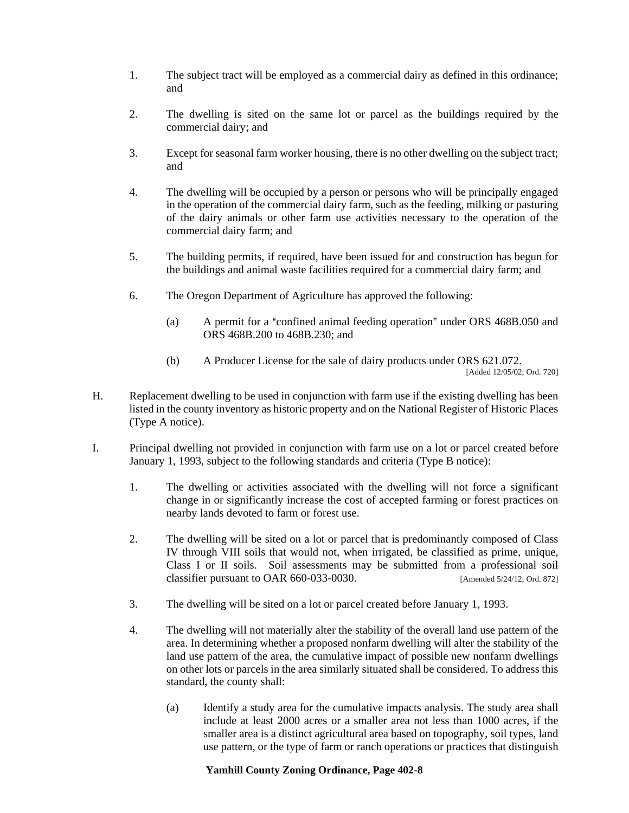- 1. The subject tract will be employed as a commercial dairy as defined in this ordinance; and
- 2. The dwelling is sited on the same lot or parcel as the buildings required by the commercial dairy; and
- 3. Except for seasonal farm worker housing, there is no other dwelling on the subject tract; and
- 4. The dwelling will be occupied by a person or persons who will be principally engaged in the operation of the commercial dairy farm, such as the feeding, milking or pasturing of the dairy animals or other farm use activities necessary to the operation of the commercial dairy farm; and
- 5. The building permits, if required, have been issued for and construction has begun for the buildings and animal waste facilities required for a commercial dairy farm; and
- 6. The Oregon Department of Agriculture has approved the following:
	- (a) A permit for a "confined animal feeding operation" under ORS 468B.050 and ORS 468B.200 to 468B.230; and
	- (b) A Producer License for the sale of dairy products under ORS 621.072. [Added 12/05/02; Ord. 720]
- H. Replacement dwelling to be used in conjunction with farm use if the existing dwelling has been listed in the county inventory as historic property and on the National Register of Historic Places (Type A notice).
- I. Principal dwelling not provided in conjunction with farm use on a lot or parcel created before January 1, 1993, subject to the following standards and criteria (Type B notice):
	- 1. The dwelling or activities associated with the dwelling will not force a significant change in or significantly increase the cost of accepted farming or forest practices on nearby lands devoted to farm or forest use.
	- 2. The dwelling will be sited on a lot or parcel that is predominantly composed of Class IV through VIII soils that would not, when irrigated, be classified as prime, unique, Class I or II soils. Soil assessments may be submitted from a professional soil classifier pursuant to OAR 660-033-0030. [Amended 5/24/12; Ord. 872]
	- 3. The dwelling will be sited on a lot or parcel created before January 1, 1993.
	- 4. The dwelling will not materially alter the stability of the overall land use pattern of the area. In determining whether a proposed nonfarm dwelling will alter the stability of the land use pattern of the area, the cumulative impact of possible new nonfarm dwellings on other lots or parcels in the area similarly situated shall be considered. To address this standard, the county shall:
		- (a) Identify a study area for the cumulative impacts analysis. The study area shall include at least 2000 acres or a smaller area not less than 1000 acres, if the smaller area is a distinct agricultural area based on topography, soil types, land use pattern, or the type of farm or ranch operations or practices that distinguish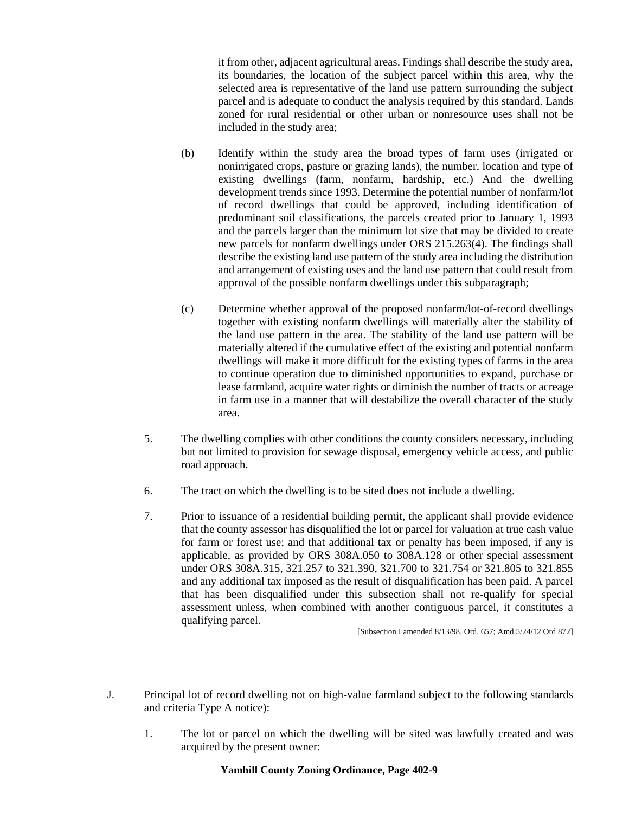it from other, adjacent agricultural areas. Findings shall describe the study area, its boundaries, the location of the subject parcel within this area, why the selected area is representative of the land use pattern surrounding the subject parcel and is adequate to conduct the analysis required by this standard. Lands zoned for rural residential or other urban or nonresource uses shall not be included in the study area;

- (b) Identify within the study area the broad types of farm uses (irrigated or nonirrigated crops, pasture or grazing lands), the number, location and type of existing dwellings (farm, nonfarm, hardship, etc.) And the dwelling development trends since 1993. Determine the potential number of nonfarm/lot of record dwellings that could be approved, including identification of predominant soil classifications, the parcels created prior to January 1, 1993 and the parcels larger than the minimum lot size that may be divided to create new parcels for nonfarm dwellings under ORS 215.263(4). The findings shall describe the existing land use pattern of the study area including the distribution and arrangement of existing uses and the land use pattern that could result from approval of the possible nonfarm dwellings under this subparagraph;
- (c) Determine whether approval of the proposed nonfarm/lot-of-record dwellings together with existing nonfarm dwellings will materially alter the stability of the land use pattern in the area. The stability of the land use pattern will be materially altered if the cumulative effect of the existing and potential nonfarm dwellings will make it more difficult for the existing types of farms in the area to continue operation due to diminished opportunities to expand, purchase or lease farmland, acquire water rights or diminish the number of tracts or acreage in farm use in a manner that will destabilize the overall character of the study area.
- 5. The dwelling complies with other conditions the county considers necessary, including but not limited to provision for sewage disposal, emergency vehicle access, and public road approach.
- 6. The tract on which the dwelling is to be sited does not include a dwelling.
- 7. Prior to issuance of a residential building permit, the applicant shall provide evidence that the county assessor has disqualified the lot or parcel for valuation at true cash value for farm or forest use; and that additional tax or penalty has been imposed, if any is applicable, as provided by ORS 308A.050 to 308A.128 or other special assessment under ORS 308A.315, 321.257 to 321.390, 321.700 to 321.754 or 321.805 to 321.855 and any additional tax imposed as the result of disqualification has been paid. A parcel that has been disqualified under this subsection shall not re-qualify for special assessment unless, when combined with another contiguous parcel, it constitutes a qualifying parcel.

[Subsection I amended 8/13/98, Ord. 657; Amd 5/24/12 Ord 872]

- J. Principal lot of record dwelling not on high-value farmland subject to the following standards and criteria Type A notice):
	- 1. The lot or parcel on which the dwelling will be sited was lawfully created and was acquired by the present owner: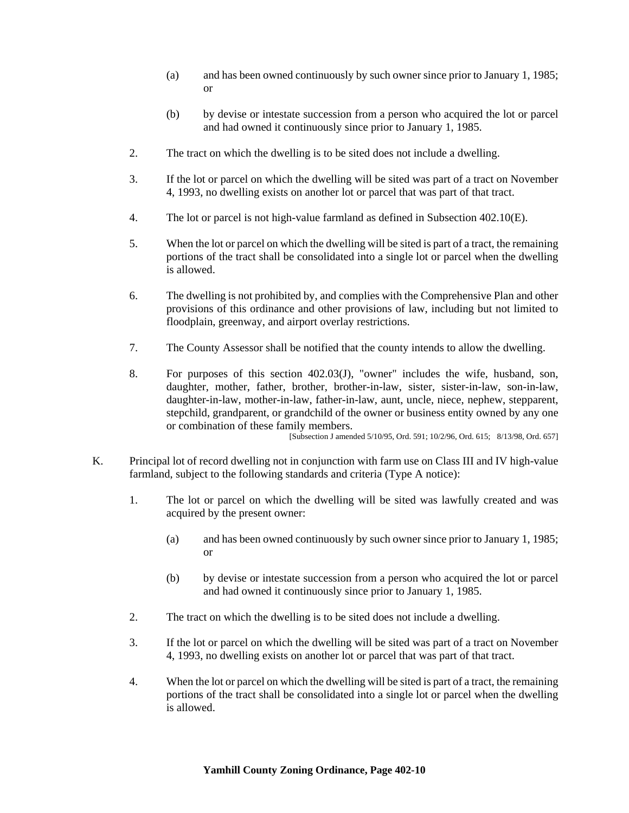- (a) and has been owned continuously by such owner since prior to January 1, 1985; or
- (b) by devise or intestate succession from a person who acquired the lot or parcel and had owned it continuously since prior to January 1, 1985.
- 2. The tract on which the dwelling is to be sited does not include a dwelling.
- 3. If the lot or parcel on which the dwelling will be sited was part of a tract on November 4, 1993, no dwelling exists on another lot or parcel that was part of that tract.
- 4. The lot or parcel is not high-value farmland as defined in Subsection 402.10(E).
- 5. When the lot or parcel on which the dwelling will be sited is part of a tract, the remaining portions of the tract shall be consolidated into a single lot or parcel when the dwelling is allowed.
- 6. The dwelling is not prohibited by, and complies with the Comprehensive Plan and other provisions of this ordinance and other provisions of law, including but not limited to floodplain, greenway, and airport overlay restrictions.
- 7. The County Assessor shall be notified that the county intends to allow the dwelling.
- 8. For purposes of this section 402.03(J), "owner" includes the wife, husband, son, daughter, mother, father, brother, brother-in-law, sister, sister-in-law, son-in-law, daughter-in-law, mother-in-law, father-in-law, aunt, uncle, niece, nephew, stepparent, stepchild, grandparent, or grandchild of the owner or business entity owned by any one or combination of these family members.

[Subsection J amended 5/10/95, Ord. 591; 10/2/96, Ord. 615; 8/13/98, Ord. 657]

- K. Principal lot of record dwelling not in conjunction with farm use on Class III and IV high-value farmland, subject to the following standards and criteria (Type A notice):
	- 1. The lot or parcel on which the dwelling will be sited was lawfully created and was acquired by the present owner:
		- (a) and has been owned continuously by such owner since prior to January 1, 1985; or
		- (b) by devise or intestate succession from a person who acquired the lot or parcel and had owned it continuously since prior to January 1, 1985.
	- 2. The tract on which the dwelling is to be sited does not include a dwelling.
	- 3. If the lot or parcel on which the dwelling will be sited was part of a tract on November 4, 1993, no dwelling exists on another lot or parcel that was part of that tract.
	- 4. When the lot or parcel on which the dwelling will be sited is part of a tract, the remaining portions of the tract shall be consolidated into a single lot or parcel when the dwelling is allowed.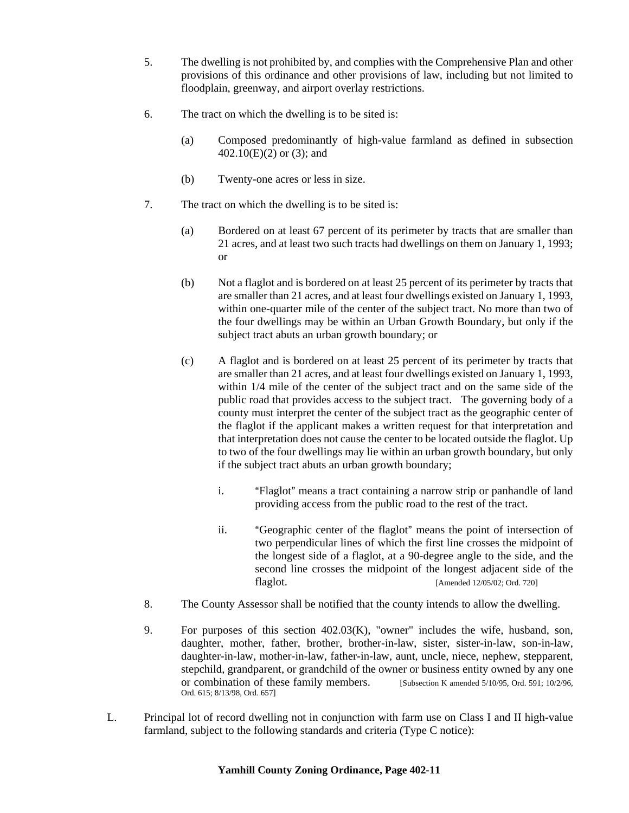- 5. The dwelling is not prohibited by, and complies with the Comprehensive Plan and other provisions of this ordinance and other provisions of law, including but not limited to floodplain, greenway, and airport overlay restrictions.
- 6. The tract on which the dwelling is to be sited is:
	- (a) Composed predominantly of high-value farmland as defined in subsection 402.10(E)(2) or (3); and
	- (b) Twenty-one acres or less in size.
- 7. The tract on which the dwelling is to be sited is:
	- (a) Bordered on at least 67 percent of its perimeter by tracts that are smaller than 21 acres, and at least two such tracts had dwellings on them on January 1, 1993; or
	- (b) Not a flaglot and is bordered on at least 25 percent of its perimeter by tracts that are smaller than 21 acres, and at least four dwellings existed on January 1, 1993, within one-quarter mile of the center of the subject tract. No more than two of the four dwellings may be within an Urban Growth Boundary, but only if the subject tract abuts an urban growth boundary; or
	- (c) A flaglot and is bordered on at least 25 percent of its perimeter by tracts that are smaller than 21 acres, and at least four dwellings existed on January 1, 1993, within 1/4 mile of the center of the subject tract and on the same side of the public road that provides access to the subject tract. The governing body of a county must interpret the center of the subject tract as the geographic center of the flaglot if the applicant makes a written request for that interpretation and that interpretation does not cause the center to be located outside the flaglot. Up to two of the four dwellings may lie within an urban growth boundary, but only if the subject tract abuts an urban growth boundary;
		- i. "Flaglot" means a tract containing a narrow strip or panhandle of land providing access from the public road to the rest of the tract.
		- ii. "Geographic center of the flaglot" means the point of intersection of two perpendicular lines of which the first line crosses the midpoint of the longest side of a flaglot, at a 90-degree angle to the side, and the second line crosses the midpoint of the longest adjacent side of the flaglot. [Amended 12/05/02; Ord. 720]
- 8. The County Assessor shall be notified that the county intends to allow the dwelling.
- 9. For purposes of this section 402.03(K), "owner" includes the wife, husband, son, daughter, mother, father, brother, brother-in-law, sister, sister-in-law, son-in-law, daughter-in-law, mother-in-law, father-in-law, aunt, uncle, niece, nephew, stepparent, stepchild, grandparent, or grandchild of the owner or business entity owned by any one or combination of these family members. [Subsection K amended 5/10/95, Ord. 591; 10/2/96, Ord. 615; 8/13/98, Ord. 657]
- L. Principal lot of record dwelling not in conjunction with farm use on Class I and II high-value farmland, subject to the following standards and criteria (Type C notice):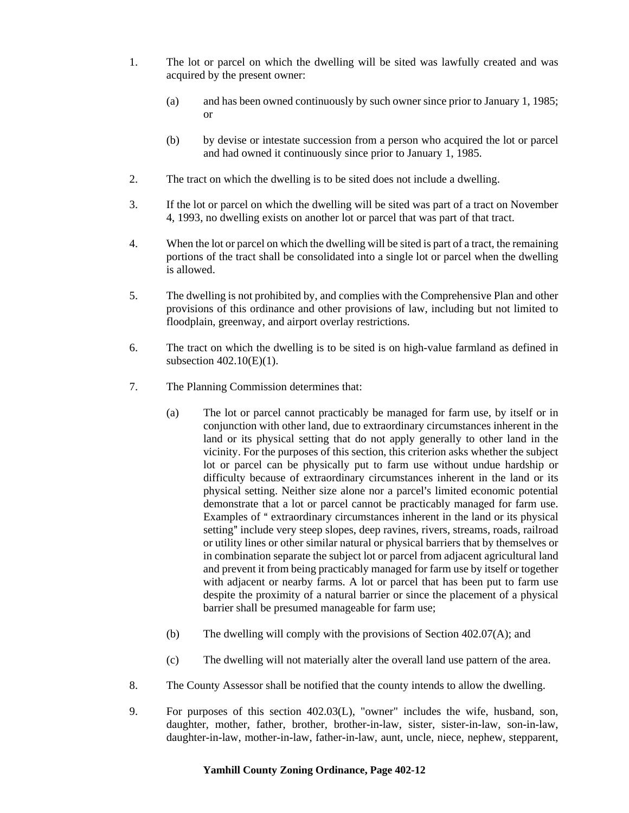- 1. The lot or parcel on which the dwelling will be sited was lawfully created and was acquired by the present owner:
	- (a) and has been owned continuously by such owner since prior to January 1, 1985; or
	- (b) by devise or intestate succession from a person who acquired the lot or parcel and had owned it continuously since prior to January 1, 1985.
- 2. The tract on which the dwelling is to be sited does not include a dwelling.
- 3. If the lot or parcel on which the dwelling will be sited was part of a tract on November 4, 1993, no dwelling exists on another lot or parcel that was part of that tract.
- 4. When the lot or parcel on which the dwelling will be sited is part of a tract, the remaining portions of the tract shall be consolidated into a single lot or parcel when the dwelling is allowed.
- 5. The dwelling is not prohibited by, and complies with the Comprehensive Plan and other provisions of this ordinance and other provisions of law, including but not limited to floodplain, greenway, and airport overlay restrictions.
- 6. The tract on which the dwelling is to be sited is on high-value farmland as defined in subsection 402.10(E)(1).
- 7. The Planning Commission determines that:
	- (a) The lot or parcel cannot practicably be managed for farm use, by itself or in conjunction with other land, due to extraordinary circumstances inherent in the land or its physical setting that do not apply generally to other land in the vicinity. For the purposes of this section, this criterion asks whether the subject lot or parcel can be physically put to farm use without undue hardship or difficulty because of extraordinary circumstances inherent in the land or its physical setting. Neither size alone nor a parcel's limited economic potential demonstrate that a lot or parcel cannot be practicably managed for farm use. Examples of "extraordinary circumstances inherent in the land or its physical setting" include very steep slopes, deep ravines, rivers, streams, roads, railroad or utility lines or other similar natural or physical barriers that by themselves or in combination separate the subject lot or parcel from adjacent agricultural land and prevent it from being practicably managed for farm use by itself or together with adjacent or nearby farms. A lot or parcel that has been put to farm use despite the proximity of a natural barrier or since the placement of a physical barrier shall be presumed manageable for farm use;
	- (b) The dwelling will comply with the provisions of Section  $402.07(A)$ ; and
	- (c) The dwelling will not materially alter the overall land use pattern of the area.
- 8. The County Assessor shall be notified that the county intends to allow the dwelling.
- 9. For purposes of this section 402.03(L), "owner" includes the wife, husband, son, daughter, mother, father, brother, brother-in-law, sister, sister-in-law, son-in-law, daughter-in-law, mother-in-law, father-in-law, aunt, uncle, niece, nephew, stepparent,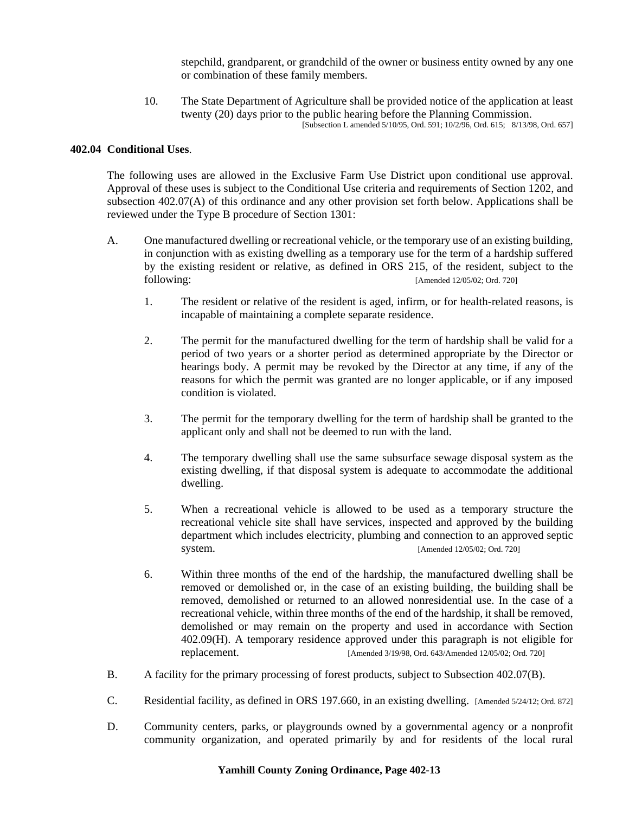stepchild, grandparent, or grandchild of the owner or business entity owned by any one or combination of these family members.

10. The State Department of Agriculture shall be provided notice of the application at least twenty (20) days prior to the public hearing before the Planning Commission. [Subsection L amended 5/10/95, Ord. 591; 10/2/96, Ord. 615; 8/13/98, Ord. 657]

### **402.04 Conditional Uses**.

The following uses are allowed in the Exclusive Farm Use District upon conditional use approval. Approval of these uses is subject to the Conditional Use criteria and requirements of Section 1202, and subsection 402.07(A) of this ordinance and any other provision set forth below. Applications shall be reviewed under the Type B procedure of Section 1301:

- A. One manufactured dwelling or recreational vehicle, or the temporary use of an existing building, in conjunction with as existing dwelling as a temporary use for the term of a hardship suffered by the existing resident or relative, as defined in ORS 215, of the resident, subject to the following: [Amended 12/05/02; Ord. 720]
	- 1. The resident or relative of the resident is aged, infirm, or for health-related reasons, is incapable of maintaining a complete separate residence.
	- 2. The permit for the manufactured dwelling for the term of hardship shall be valid for a period of two years or a shorter period as determined appropriate by the Director or hearings body. A permit may be revoked by the Director at any time, if any of the reasons for which the permit was granted are no longer applicable, or if any imposed condition is violated.
	- 3. The permit for the temporary dwelling for the term of hardship shall be granted to the applicant only and shall not be deemed to run with the land.
	- 4. The temporary dwelling shall use the same subsurface sewage disposal system as the existing dwelling, if that disposal system is adequate to accommodate the additional dwelling.
	- 5. When a recreational vehicle is allowed to be used as a temporary structure the recreational vehicle site shall have services, inspected and approved by the building department which includes electricity, plumbing and connection to an approved septic system. [Amended 12/05/02; Ord. 720]
	- 6. Within three months of the end of the hardship, the manufactured dwelling shall be removed or demolished or, in the case of an existing building, the building shall be removed, demolished or returned to an allowed nonresidential use. In the case of a recreational vehicle, within three months of the end of the hardship, it shall be removed, demolished or may remain on the property and used in accordance with Section 402.09(H). A temporary residence approved under this paragraph is not eligible for replacement. [Amended 3/19/98, Ord. 643/Amended 12/05/02; Ord. 720]
- B. A facility for the primary processing of forest products, subject to Subsection 402.07(B).
- C. Residential facility, as defined in ORS 197.660, in an existing dwelling. [Amended 5/24/12; Ord. 872]
- D. Community centers, parks, or playgrounds owned by a governmental agency or a nonprofit community organization, and operated primarily by and for residents of the local rural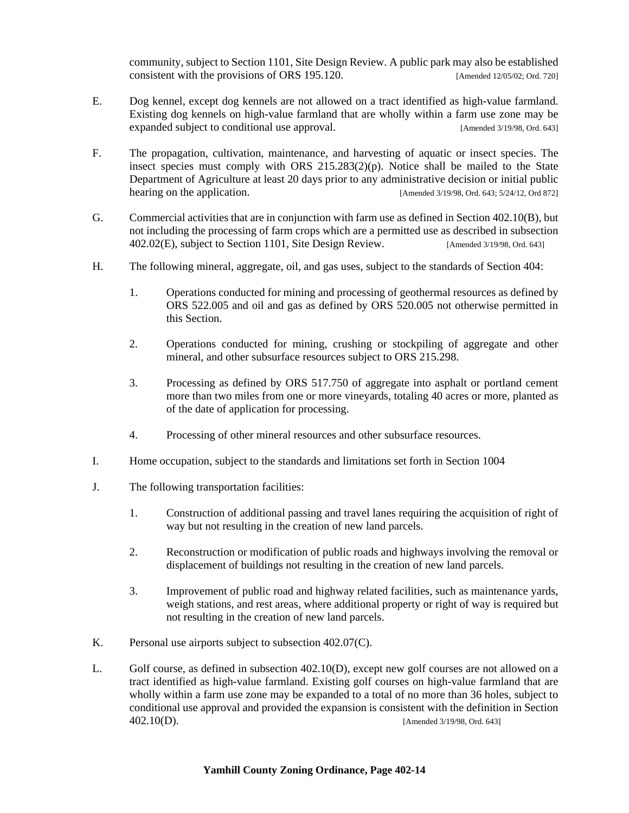community, subject to Section 1101, Site Design Review. A public park may also be established consistent with the provisions of ORS 195.120. [Amended 12/05/02; Ord. 720]

- E. Dog kennel, except dog kennels are not allowed on a tract identified as high-value farmland. Existing dog kennels on high-value farmland that are wholly within a farm use zone may be expanded subject to conditional use approval. The subset of the subset of  $\frac{1}{9}$  [Amended 3/19/98, Ord. 643]
- F. The propagation, cultivation, maintenance, and harvesting of aquatic or insect species. The insect species must comply with ORS 215.283(2)(p). Notice shall be mailed to the State Department of Agriculture at least 20 days prior to any administrative decision or initial public hearing on the application. [Amended 3/19/98, Ord. 643; 5/24/12, Ord 872]
- G. Commercial activities that are in conjunction with farm use as defined in Section 402.10(B), but not including the processing of farm crops which are a permitted use as described in subsection 402.02(E), subject to Section 1101, Site Design Review. [Amended 3/19/98, Ord. 643]
- H. The following mineral, aggregate, oil, and gas uses, subject to the standards of Section 404:
	- 1. Operations conducted for mining and processing of geothermal resources as defined by ORS 522.005 and oil and gas as defined by ORS 520.005 not otherwise permitted in this Section.
	- 2. Operations conducted for mining, crushing or stockpiling of aggregate and other mineral, and other subsurface resources subject to ORS 215.298.
	- 3. Processing as defined by ORS 517.750 of aggregate into asphalt or portland cement more than two miles from one or more vineyards, totaling 40 acres or more, planted as of the date of application for processing.
	- 4. Processing of other mineral resources and other subsurface resources.
- I. Home occupation, subject to the standards and limitations set forth in Section 1004
- J. The following transportation facilities:
	- 1. Construction of additional passing and travel lanes requiring the acquisition of right of way but not resulting in the creation of new land parcels.
	- 2. Reconstruction or modification of public roads and highways involving the removal or displacement of buildings not resulting in the creation of new land parcels.
	- 3. Improvement of public road and highway related facilities, such as maintenance yards, weigh stations, and rest areas, where additional property or right of way is required but not resulting in the creation of new land parcels.
- K. Personal use airports subject to subsection 402.07(C).
- L. Golf course, as defined in subsection 402.10(D), except new golf courses are not allowed on a tract identified as high-value farmland. Existing golf courses on high-value farmland that are wholly within a farm use zone may be expanded to a total of no more than 36 holes, subject to conditional use approval and provided the expansion is consistent with the definition in Section 402.10(D). [Amended 3/19/98, Ord. 643]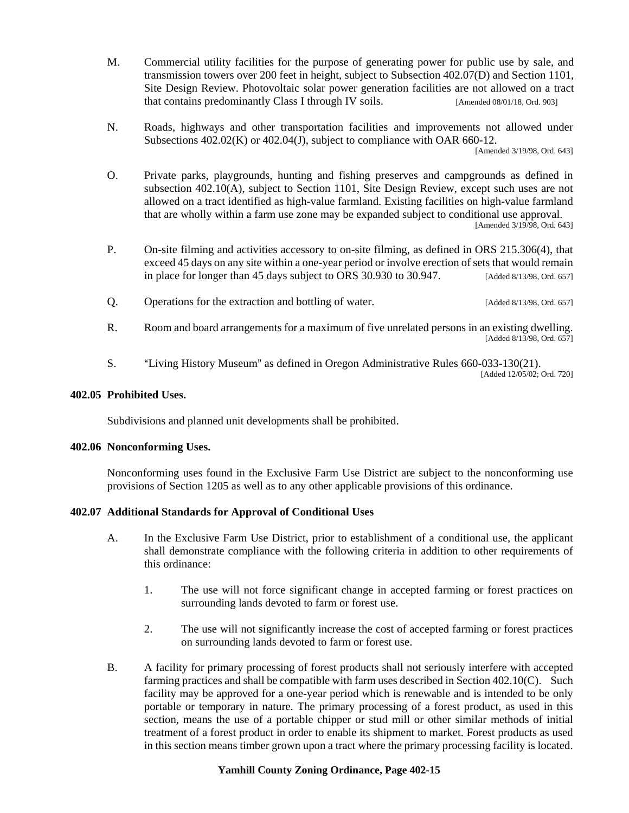- M. Commercial utility facilities for the purpose of generating power for public use by sale, and transmission towers over 200 feet in height, subject to Subsection 402.07(D) and Section 1101, Site Design Review. Photovoltaic solar power generation facilities are not allowed on a tract that contains predominantly Class I through IV soils. [Amended 08/01/18, Ord. 903]
- N. Roads, highways and other transportation facilities and improvements not allowed under Subsections 402.02(K) or 402.04(J), subject to compliance with OAR 660-12.

[Amended 3/19/98, Ord. 643]

- O. Private parks, playgrounds, hunting and fishing preserves and campgrounds as defined in subsection 402.10(A), subject to Section 1101, Site Design Review, except such uses are not allowed on a tract identified as high-value farmland. Existing facilities on high-value farmland that are wholly within a farm use zone may be expanded subject to conditional use approval. [Amended 3/19/98, Ord. 643]
- P. On-site filming and activities accessory to on-site filming, as defined in ORS 215.306(4), that exceed 45 days on any site within a one-year period or involve erection of sets that would remain in place for longer than 45 days subject to ORS 30.930 to 30.947. [Added 8/13/98, Ord. 657]
- Q. Operations for the extraction and bottling of water. [Added 8/13/98, Ord. 657]
- R. Room and board arrangements for a maximum of five unrelated persons in an existing dwelling. [Added 8/13/98, Ord. 657]
- S. "Living History Museum" as defined in Oregon Administrative Rules 660-033-130(21).

[Added 12/05/02; Ord. 720]

## **402.05 Prohibited Uses.**

Subdivisions and planned unit developments shall be prohibited.

### **402.06 Nonconforming Uses.**

Nonconforming uses found in the Exclusive Farm Use District are subject to the nonconforming use provisions of Section 1205 as well as to any other applicable provisions of this ordinance.

### **402.07 Additional Standards for Approval of Conditional Uses**

- A. In the Exclusive Farm Use District, prior to establishment of a conditional use, the applicant shall demonstrate compliance with the following criteria in addition to other requirements of this ordinance:
	- 1. The use will not force significant change in accepted farming or forest practices on surrounding lands devoted to farm or forest use.
	- 2. The use will not significantly increase the cost of accepted farming or forest practices on surrounding lands devoted to farm or forest use.
- B. A facility for primary processing of forest products shall not seriously interfere with accepted farming practices and shall be compatible with farm uses described in Section 402.10(C). Such facility may be approved for a one-year period which is renewable and is intended to be only portable or temporary in nature. The primary processing of a forest product, as used in this section, means the use of a portable chipper or stud mill or other similar methods of initial treatment of a forest product in order to enable its shipment to market. Forest products as used in this section means timber grown upon a tract where the primary processing facility is located.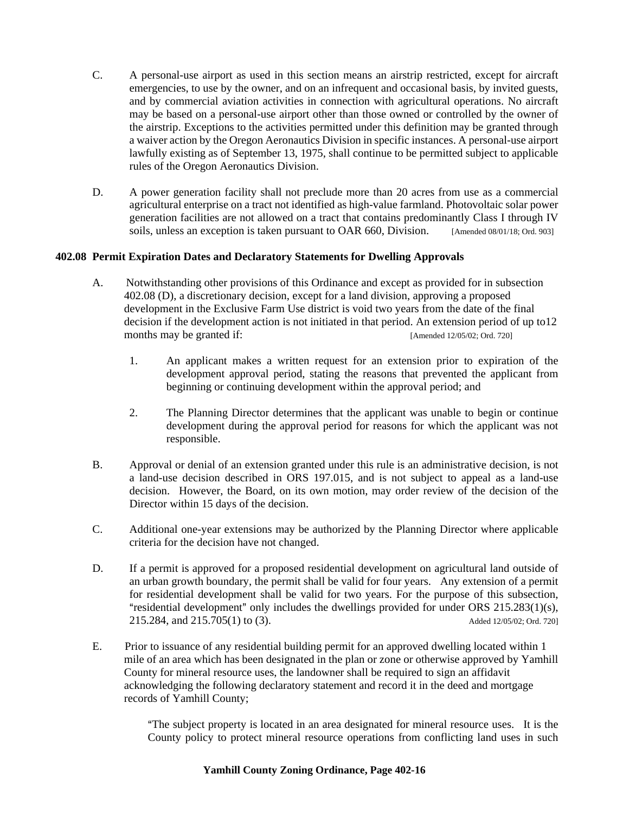- C. A personal-use airport as used in this section means an airstrip restricted, except for aircraft emergencies, to use by the owner, and on an infrequent and occasional basis, by invited guests, and by commercial aviation activities in connection with agricultural operations. No aircraft may be based on a personal-use airport other than those owned or controlled by the owner of the airstrip. Exceptions to the activities permitted under this definition may be granted through a waiver action by the Oregon Aeronautics Division in specific instances. A personal-use airport lawfully existing as of September 13, 1975, shall continue to be permitted subject to applicable rules of the Oregon Aeronautics Division.
- D. A power generation facility shall not preclude more than 20 acres from use as a commercial agricultural enterprise on a tract not identified as high-value farmland. Photovoltaic solar power generation facilities are not allowed on a tract that contains predominantly Class I through IV soils, unless an exception is taken pursuant to OAR 660, Division. [Amended 08/01/18; Ord. 903]

# **402.08 Permit Expiration Dates and Declaratory Statements for Dwelling Approvals**

- A. Notwithstanding other provisions of this Ordinance and except as provided for in subsection 402.08 (D), a discretionary decision, except for a land division, approving a proposed development in the Exclusive Farm Use district is void two years from the date of the final decision if the development action is not initiated in that period. An extension period of up to12 months may be granted if: [Amended 12/05/02; Ord. 720]
	- 1. An applicant makes a written request for an extension prior to expiration of the development approval period, stating the reasons that prevented the applicant from beginning or continuing development within the approval period; and
	- 2. The Planning Director determines that the applicant was unable to begin or continue development during the approval period for reasons for which the applicant was not responsible.
- B. Approval or denial of an extension granted under this rule is an administrative decision, is not a land-use decision described in ORS 197.015, and is not subject to appeal as a land-use decision. However, the Board, on its own motion, may order review of the decision of the Director within 15 days of the decision.
- C. Additional one-year extensions may be authorized by the Planning Director where applicable criteria for the decision have not changed.
- D. If a permit is approved for a proposed residential development on agricultural land outside of an urban growth boundary, the permit shall be valid for four years. Any extension of a permit for residential development shall be valid for two years. For the purpose of this subsection, "residential development" only includes the dwellings provided for under ORS  $215.283(1)(s)$ , 215.284, and 215.705(1) to (3). Added 12/05/02; Ord. 720]
- E. Prior to issuance of any residential building permit for an approved dwelling located within 1 mile of an area which has been designated in the plan or zone or otherwise approved by Yamhill County for mineral resource uses, the landowner shall be required to sign an affidavit acknowledging the following declaratory statement and record it in the deed and mortgage records of Yamhill County;

"The subject property is located in an area designated for mineral resource uses. It is the County policy to protect mineral resource operations from conflicting land uses in such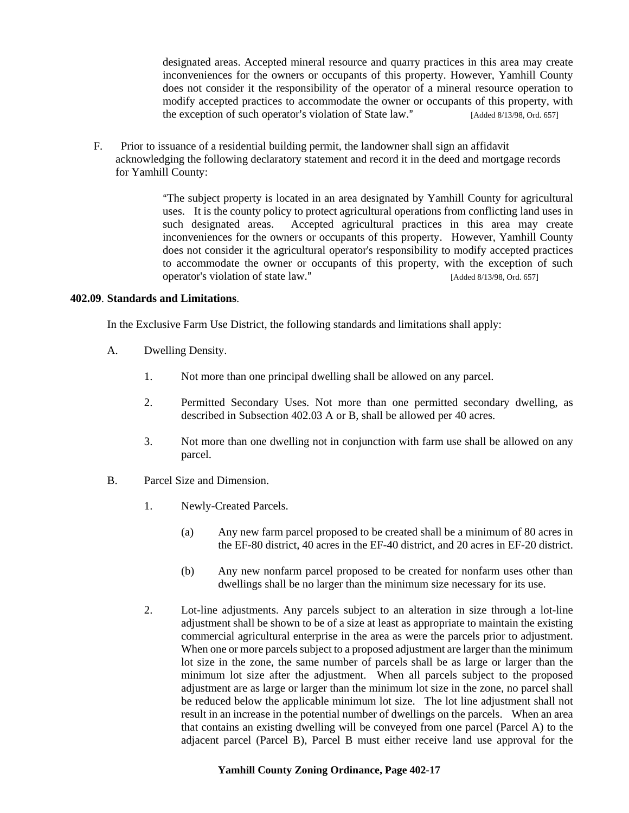designated areas. Accepted mineral resource and quarry practices in this area may create inconveniences for the owners or occupants of this property. However, Yamhill County does not consider it the responsibility of the operator of a mineral resource operation to modify accepted practices to accommodate the owner or occupants of this property, with the exception of such operator's violation of State law."  $[Added 8/13/98, Ord. 657]$ 

F. Prior to issuance of a residential building permit, the landowner shall sign an affidavit acknowledging the following declaratory statement and record it in the deed and mortgage records for Yamhill County:

> "The subject property is located in an area designated by Yamhill County for agricultural uses. It is the county policy to protect agricultural operations from conflicting land uses in such designated areas. Accepted agricultural practices in this area may create inconveniences for the owners or occupants of this property. However, Yamhill County does not consider it the agricultural operator's responsibility to modify accepted practices to accommodate the owner or occupants of this property, with the exception of such operator's violation of state law." [Added 8/13/98, Ord. 657]

## **402.09**. **Standards and Limitations**.

In the Exclusive Farm Use District, the following standards and limitations shall apply:

- A. Dwelling Density.
	- 1. Not more than one principal dwelling shall be allowed on any parcel.
	- 2. Permitted Secondary Uses. Not more than one permitted secondary dwelling, as described in Subsection 402.03 A or B, shall be allowed per 40 acres.
	- 3. Not more than one dwelling not in conjunction with farm use shall be allowed on any parcel.
- B. Parcel Size and Dimension.
	- 1. Newly-Created Parcels.
		- (a) Any new farm parcel proposed to be created shall be a minimum of 80 acres in the EF-80 district, 40 acres in the EF-40 district, and 20 acres in EF-20 district.
		- (b) Any new nonfarm parcel proposed to be created for nonfarm uses other than dwellings shall be no larger than the minimum size necessary for its use.
	- 2. Lot-line adjustments. Any parcels subject to an alteration in size through a lot-line adjustment shall be shown to be of a size at least as appropriate to maintain the existing commercial agricultural enterprise in the area as were the parcels prior to adjustment. When one or more parcels subject to a proposed adjustment are larger than the minimum lot size in the zone, the same number of parcels shall be as large or larger than the minimum lot size after the adjustment. When all parcels subject to the proposed adjustment are as large or larger than the minimum lot size in the zone, no parcel shall be reduced below the applicable minimum lot size. The lot line adjustment shall not result in an increase in the potential number of dwellings on the parcels. When an area that contains an existing dwelling will be conveyed from one parcel (Parcel A) to the adjacent parcel (Parcel B), Parcel B must either receive land use approval for the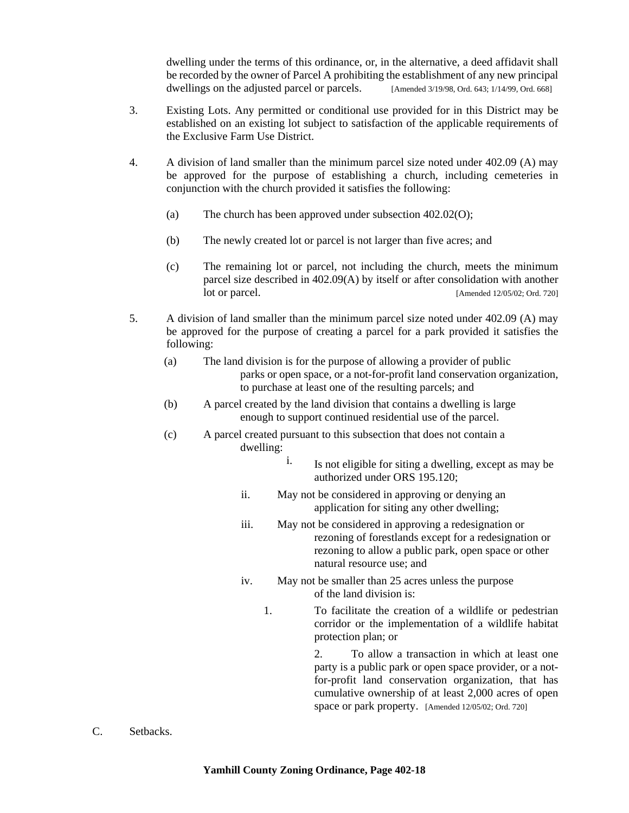dwelling under the terms of this ordinance, or, in the alternative, a deed affidavit shall be recorded by the owner of Parcel A prohibiting the establishment of any new principal dwellings on the adjusted parcel or parcels. [Amended 3/19/98, Ord. 643; 1/14/99, Ord. 668]

- 3. Existing Lots. Any permitted or conditional use provided for in this District may be established on an existing lot subject to satisfaction of the applicable requirements of the Exclusive Farm Use District.
- 4. A division of land smaller than the minimum parcel size noted under 402.09 (A) may be approved for the purpose of establishing a church, including cemeteries in conjunction with the church provided it satisfies the following:
	- (a) The church has been approved under subsection 402.02(O);
	- (b) The newly created lot or parcel is not larger than five acres; and
	- (c) The remaining lot or parcel, not including the church, meets the minimum parcel size described in 402.09(A) by itself or after consolidation with another **lot or parcel.** [Amended 12/05/02; Ord. 720]
- 5. A division of land smaller than the minimum parcel size noted under 402.09 (A) may be approved for the purpose of creating a parcel for a park provided it satisfies the following:
	- (a) The land division is for the purpose of allowing a provider of public parks or open space, or a not-for-profit land conservation organization, to purchase at least one of the resulting parcels; and
	- (b) A parcel created by the land division that contains a dwelling is large enough to support continued residential use of the parcel.
	- (c) A parcel created pursuant to this subsection that does not contain a dwelling:
		- i. Is not eligible for siting a dwelling, except as may be authorized under ORS 195.120;
		- ii. May not be considered in approving or denying an application for siting any other dwelling;
		- iii. May not be considered in approving a redesignation or rezoning of forestlands except for a redesignation or rezoning to allow a public park, open space or other natural resource use; and
		- iv. May not be smaller than 25 acres unless the purpose of the land division is:
			- 1. To facilitate the creation of a wildlife or pedestrian corridor or the implementation of a wildlife habitat protection plan; or

 2. To allow a transaction in which at least one party is a public park or open space provider, or a notfor-profit land conservation organization, that has cumulative ownership of at least 2,000 acres of open space or park property. [Amended 12/05/02; Ord. 720]

C. Setbacks.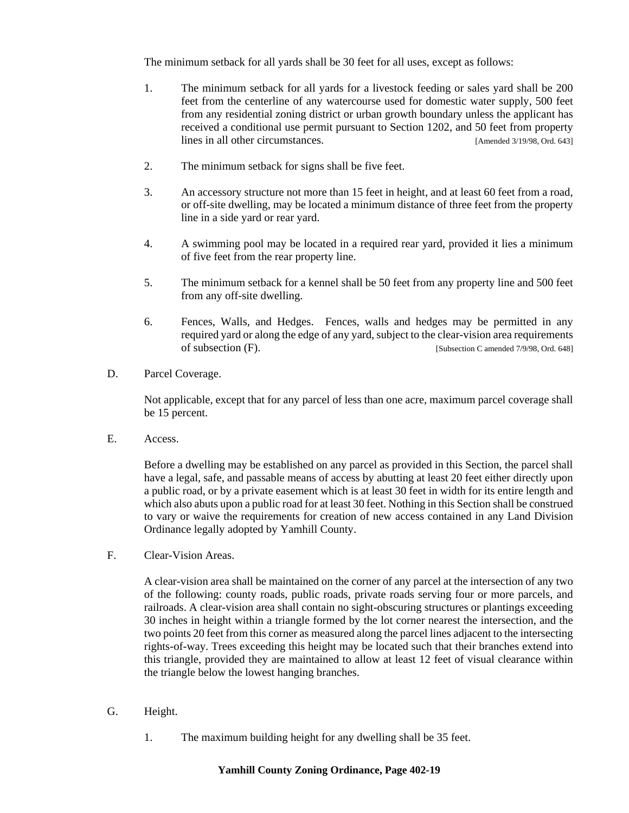The minimum setback for all yards shall be 30 feet for all uses, except as follows:

- 1. The minimum setback for all yards for a livestock feeding or sales yard shall be 200 feet from the centerline of any watercourse used for domestic water supply, 500 feet from any residential zoning district or urban growth boundary unless the applicant has received a conditional use permit pursuant to Section 1202, and 50 feet from property lines in all other circumstances. [Amended 3/19/98, Ord. 643]
- 2. The minimum setback for signs shall be five feet.
- 3. An accessory structure not more than 15 feet in height, and at least 60 feet from a road, or off-site dwelling, may be located a minimum distance of three feet from the property line in a side yard or rear yard.
- 4. A swimming pool may be located in a required rear yard, provided it lies a minimum of five feet from the rear property line.
- 5. The minimum setback for a kennel shall be 50 feet from any property line and 500 feet from any off-site dwelling.
- 6. Fences, Walls, and Hedges. Fences, walls and hedges may be permitted in any required yard or along the edge of any yard, subject to the clear-vision area requirements of subsection (F). [Subsection C amended 7/9/98, Ord. 648]
- D. Parcel Coverage.

Not applicable, except that for any parcel of less than one acre, maximum parcel coverage shall be 15 percent.

E. Access.

Before a dwelling may be established on any parcel as provided in this Section, the parcel shall have a legal, safe, and passable means of access by abutting at least 20 feet either directly upon a public road, or by a private easement which is at least 30 feet in width for its entire length and which also abuts upon a public road for at least 30 feet. Nothing in this Section shall be construed to vary or waive the requirements for creation of new access contained in any Land Division Ordinance legally adopted by Yamhill County.

F. Clear-Vision Areas.

A clear-vision area shall be maintained on the corner of any parcel at the intersection of any two of the following: county roads, public roads, private roads serving four or more parcels, and railroads. A clear-vision area shall contain no sight-obscuring structures or plantings exceeding 30 inches in height within a triangle formed by the lot corner nearest the intersection, and the two points 20 feet from this corner as measured along the parcel lines adjacent to the intersecting rights-of-way. Trees exceeding this height may be located such that their branches extend into this triangle, provided they are maintained to allow at least 12 feet of visual clearance within the triangle below the lowest hanging branches.

- G. Height.
	- 1. The maximum building height for any dwelling shall be 35 feet.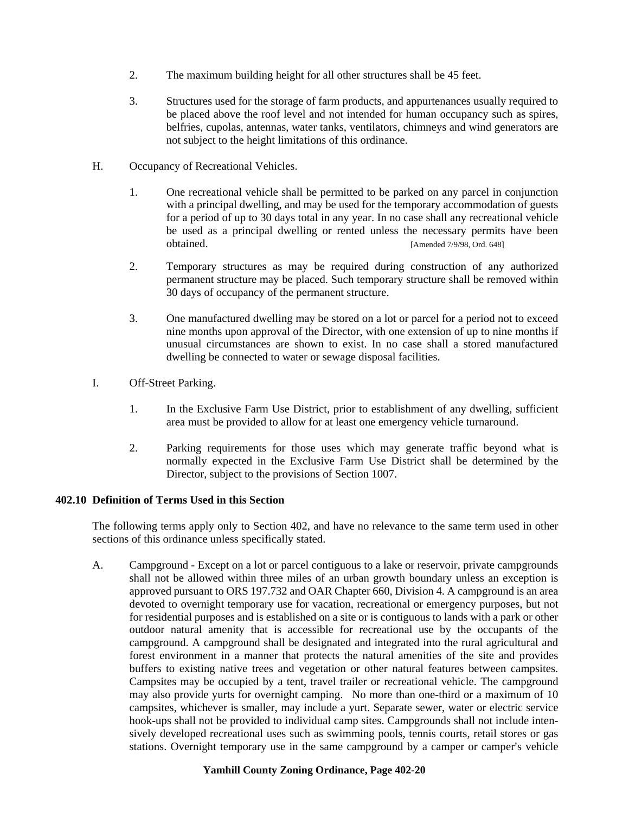- 2. The maximum building height for all other structures shall be 45 feet.
- 3. Structures used for the storage of farm products, and appurtenances usually required to be placed above the roof level and not intended for human occupancy such as spires, belfries, cupolas, antennas, water tanks, ventilators, chimneys and wind generators are not subject to the height limitations of this ordinance.
- H. Occupancy of Recreational Vehicles.
	- 1. One recreational vehicle shall be permitted to be parked on any parcel in conjunction with a principal dwelling, and may be used for the temporary accommodation of guests for a period of up to 30 days total in any year. In no case shall any recreational vehicle be used as a principal dwelling or rented unless the necessary permits have been obtained. [Amended 7/9/98, Ord. 648]
	- 2. Temporary structures as may be required during construction of any authorized permanent structure may be placed. Such temporary structure shall be removed within 30 days of occupancy of the permanent structure.
	- 3. One manufactured dwelling may be stored on a lot or parcel for a period not to exceed nine months upon approval of the Director, with one extension of up to nine months if unusual circumstances are shown to exist. In no case shall a stored manufactured dwelling be connected to water or sewage disposal facilities.
- I. Off-Street Parking.
	- 1. In the Exclusive Farm Use District, prior to establishment of any dwelling, sufficient area must be provided to allow for at least one emergency vehicle turnaround.
	- 2. Parking requirements for those uses which may generate traffic beyond what is normally expected in the Exclusive Farm Use District shall be determined by the Director, subject to the provisions of Section 1007.

## **402.10 Definition of Terms Used in this Section**

The following terms apply only to Section 402, and have no relevance to the same term used in other sections of this ordinance unless specifically stated.

A. Campground - Except on a lot or parcel contiguous to a lake or reservoir, private campgrounds shall not be allowed within three miles of an urban growth boundary unless an exception is approved pursuant to ORS 197.732 and OAR Chapter 660, Division 4. A campground is an area devoted to overnight temporary use for vacation, recreational or emergency purposes, but not for residential purposes and is established on a site or is contiguous to lands with a park or other outdoor natural amenity that is accessible for recreational use by the occupants of the campground. A campground shall be designated and integrated into the rural agricultural and forest environment in a manner that protects the natural amenities of the site and provides buffers to existing native trees and vegetation or other natural features between campsites. Campsites may be occupied by a tent, travel trailer or recreational vehicle. The campground may also provide yurts for overnight camping. No more than one-third or a maximum of 10 campsites, whichever is smaller, may include a yurt. Separate sewer, water or electric service hook-ups shall not be provided to individual camp sites. Campgrounds shall not include intensively developed recreational uses such as swimming pools, tennis courts, retail stores or gas stations. Overnight temporary use in the same campground by a camper or camper's vehicle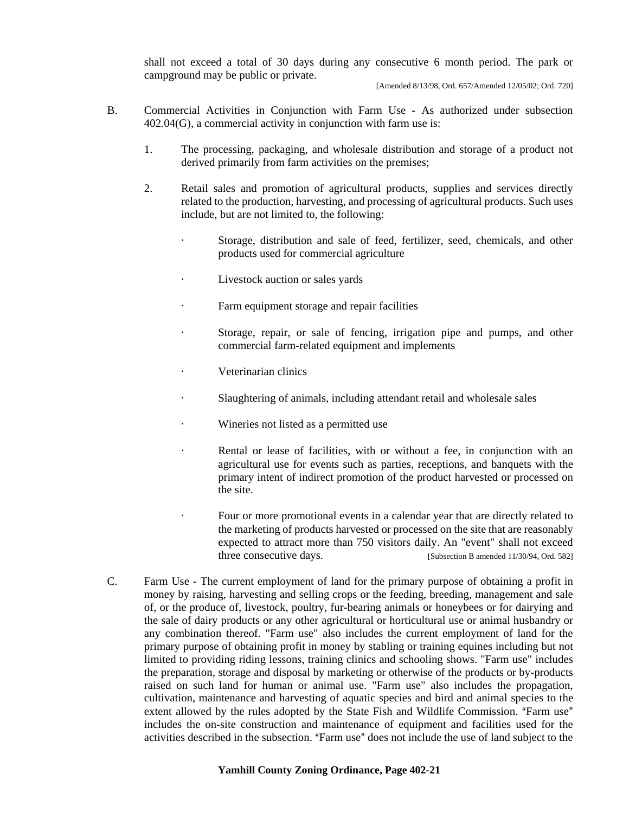shall not exceed a total of 30 days during any consecutive 6 month period. The park or campground may be public or private.

[Amended 8/13/98, Ord. 657/Amended 12/05/02; Ord. 720]

- B. Commercial Activities in Conjunction with Farm Use As authorized under subsection 402.04(G), a commercial activity in conjunction with farm use is:
	- 1. The processing, packaging, and wholesale distribution and storage of a product not derived primarily from farm activities on the premises;
	- 2. Retail sales and promotion of agricultural products, supplies and services directly related to the production, harvesting, and processing of agricultural products. Such uses include, but are not limited to, the following:
		- Storage, distribution and sale of feed, fertilizer, seed, chemicals, and other products used for commercial agriculture
		- Livestock auction or sales yards
		- Farm equipment storage and repair facilities
		- Storage, repair, or sale of fencing, irrigation pipe and pumps, and other commercial farm-related equipment and implements
		- Veterinarian clinics
		- Slaughtering of animals, including attendant retail and wholesale sales
		- Wineries not listed as a permitted use
		- Rental or lease of facilities, with or without a fee, in conjunction with an agricultural use for events such as parties, receptions, and banquets with the primary intent of indirect promotion of the product harvested or processed on the site.
		- Four or more promotional events in a calendar year that are directly related to the marketing of products harvested or processed on the site that are reasonably expected to attract more than 750 visitors daily. An "event" shall not exceed three consecutive days. [Subsection B amended 11/30/94, Ord. 582]
- C. Farm Use The current employment of land for the primary purpose of obtaining a profit in money by raising, harvesting and selling crops or the feeding, breeding, management and sale of, or the produce of, livestock, poultry, fur-bearing animals or honeybees or for dairying and the sale of dairy products or any other agricultural or horticultural use or animal husbandry or any combination thereof. "Farm use" also includes the current employment of land for the primary purpose of obtaining profit in money by stabling or training equines including but not limited to providing riding lessons, training clinics and schooling shows. "Farm use" includes the preparation, storage and disposal by marketing or otherwise of the products or by-products raised on such land for human or animal use. "Farm use" also includes the propagation, cultivation, maintenance and harvesting of aquatic species and bird and animal species to the extent allowed by the rules adopted by the State Fish and Wildlife Commission. "Farm use" includes the on-site construction and maintenance of equipment and facilities used for the activities described in the subsection. "Farm use" does not include the use of land subject to the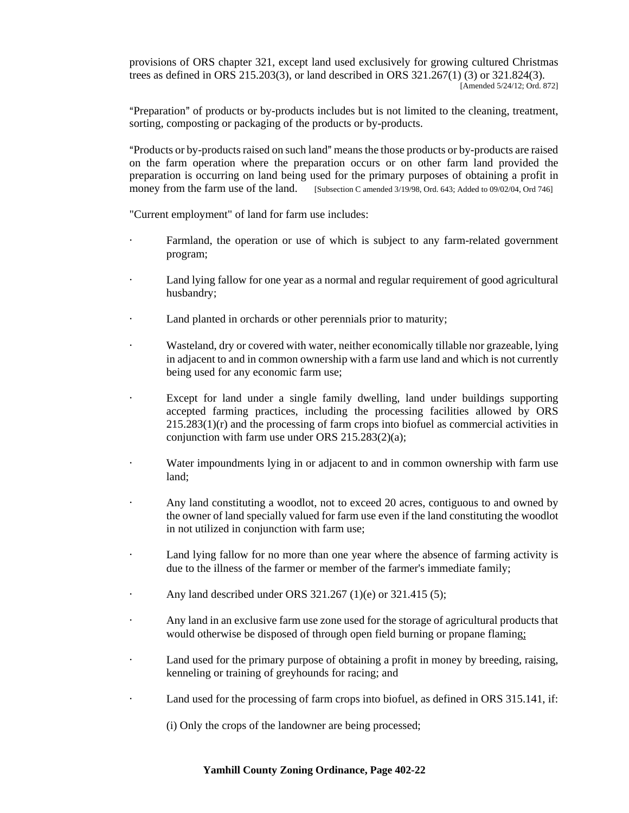provisions of ORS chapter 321, except land used exclusively for growing cultured Christmas trees as defined in ORS 215.203(3), or land described in ORS 321.267(1) (3) or 321.824(3).<br>[Amended 5/24/12; Ord. 872]

"Preparation" of products or by-products includes but is not limited to the cleaning, treatment, sorting, composting or packaging of the products or by-products.

"Products or by-products raised on such land" means the those products or by-products are raised on the farm operation where the preparation occurs or on other farm land provided the preparation is occurring on land being used for the primary purposes of obtaining a profit in money from the farm use of the land. [Subsection C amended 3/19/98, Ord. 643; Added to 09/02/04, Ord 746]

"Current employment" of land for farm use includes:

- Farmland, the operation or use of which is subject to any farm-related government program;
- Land lying fallow for one year as a normal and regular requirement of good agricultural husbandry;
- Eland planted in orchards or other perennials prior to maturity;
- Wasteland, dry or covered with water, neither economically tillable nor grazeable, lying in adjacent to and in common ownership with a farm use land and which is not currently being used for any economic farm use;
- Except for land under a single family dwelling, land under buildings supporting accepted farming practices, including the processing facilities allowed by ORS  $215.283(1)(r)$  and the processing of farm crops into biofuel as commercial activities in conjunction with farm use under ORS 215.283(2)(a);
- Water impoundments lying in or adjacent to and in common ownership with farm use land;
- Any land constituting a woodlot, not to exceed 20 acres, contiguous to and owned by the owner of land specially valued for farm use even if the land constituting the woodlot in not utilized in conjunction with farm use;
- @ Land lying fallow for no more than one year where the absence of farming activity is due to the illness of the farmer or member of the farmer's immediate family;
- Any land described under ORS 321.267 (1)(e) or 321.415 (5);
- @ Any land in an exclusive farm use zone used for the storage of agricultural products that would otherwise be disposed of through open field burning or propane flaming;
- Land used for the primary purpose of obtaining a profit in money by breeding, raising, kenneling or training of greyhounds for racing; and
- Land used for the processing of farm crops into biofuel, as defined in ORS  $315.141$ , if:

(i) Only the crops of the landowner are being processed;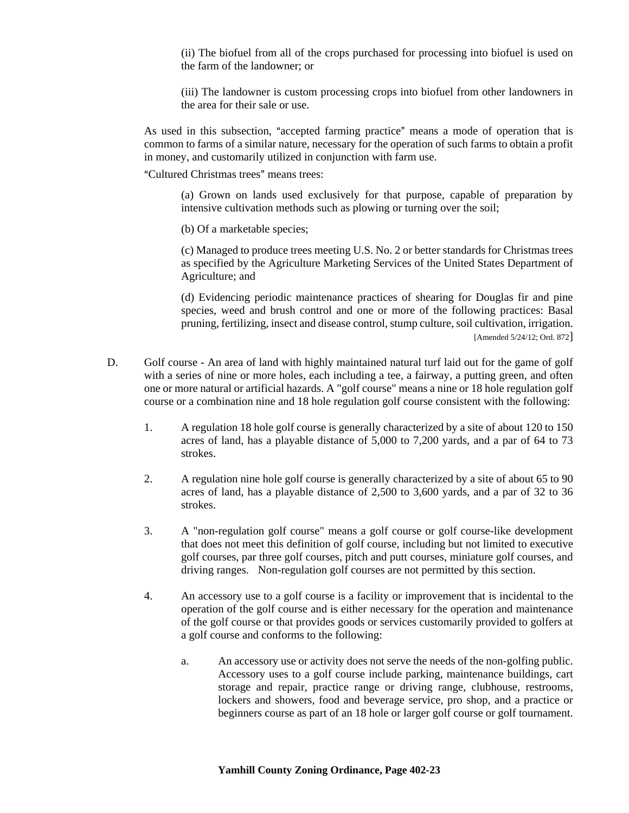(ii) The biofuel from all of the crops purchased for processing into biofuel is used on the farm of the landowner; or

(iii) The landowner is custom processing crops into biofuel from other landowners in the area for their sale or use.

As used in this subsection, "accepted farming practice" means a mode of operation that is common to farms of a similar nature, necessary for the operation of such farms to obtain a profit in money, and customarily utilized in conjunction with farm use.

"Cultured Christmas trees" means trees:

 (a) Grown on lands used exclusively for that purpose, capable of preparation by intensive cultivation methods such as plowing or turning over the soil;

(b) Of a marketable species;

 (c) Managed to produce trees meeting U.S. No. 2 or better standards for Christmas trees as specified by the Agriculture Marketing Services of the United States Department of Agriculture; and

 (d) Evidencing periodic maintenance practices of shearing for Douglas fir and pine species, weed and brush control and one or more of the following practices: Basal pruning, fertilizing, insect and disease control, stump culture, soil cultivation, irrigation. [Amended 5/24/12; Ord. 872]

- D. Golf course An area of land with highly maintained natural turf laid out for the game of golf with a series of nine or more holes, each including a tee, a fairway, a putting green, and often one or more natural or artificial hazards. A "golf course" means a nine or 18 hole regulation golf course or a combination nine and 18 hole regulation golf course consistent with the following:
	- 1. A regulation 18 hole golf course is generally characterized by a site of about 120 to 150 acres of land, has a playable distance of 5,000 to 7,200 yards, and a par of 64 to 73 strokes.
	- 2. A regulation nine hole golf course is generally characterized by a site of about 65 to 90 acres of land, has a playable distance of 2,500 to 3,600 yards, and a par of 32 to 36 strokes.
	- 3. A "non-regulation golf course" means a golf course or golf course-like development that does not meet this definition of golf course, including but not limited to executive golf courses, par three golf courses, pitch and putt courses, miniature golf courses, and driving ranges. Non-regulation golf courses are not permitted by this section.
	- 4. An accessory use to a golf course is a facility or improvement that is incidental to the operation of the golf course and is either necessary for the operation and maintenance of the golf course or that provides goods or services customarily provided to golfers at a golf course and conforms to the following:
		- a. An accessory use or activity does not serve the needs of the non-golfing public. Accessory uses to a golf course include parking, maintenance buildings, cart storage and repair, practice range or driving range, clubhouse, restrooms, lockers and showers, food and beverage service, pro shop, and a practice or beginners course as part of an 18 hole or larger golf course or golf tournament.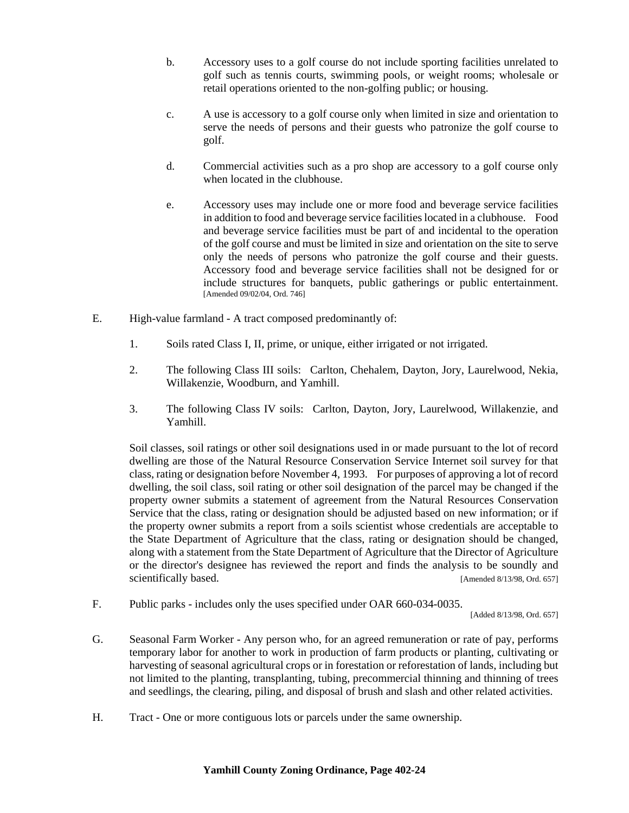- b. Accessory uses to a golf course do not include sporting facilities unrelated to golf such as tennis courts, swimming pools, or weight rooms; wholesale or retail operations oriented to the non-golfing public; or housing.
- c. A use is accessory to a golf course only when limited in size and orientation to serve the needs of persons and their guests who patronize the golf course to golf.
- d. Commercial activities such as a pro shop are accessory to a golf course only when located in the clubhouse.
- e. Accessory uses may include one or more food and beverage service facilities in addition to food and beverage service facilities located in a clubhouse. Food and beverage service facilities must be part of and incidental to the operation of the golf course and must be limited in size and orientation on the site to serve only the needs of persons who patronize the golf course and their guests. Accessory food and beverage service facilities shall not be designed for or include structures for banquets, public gatherings or public entertainment. [Amended 09/02/04, Ord. 746]
- E. High-value farmland A tract composed predominantly of:
	- 1. Soils rated Class I, II, prime, or unique, either irrigated or not irrigated.
	- 2. The following Class III soils: Carlton, Chehalem, Dayton, Jory, Laurelwood, Nekia, Willakenzie, Woodburn, and Yamhill.
	- 3. The following Class IV soils: Carlton, Dayton, Jory, Laurelwood, Willakenzie, and Yamhill.

Soil classes, soil ratings or other soil designations used in or made pursuant to the lot of record dwelling are those of the Natural Resource Conservation Service Internet soil survey for that class, rating or designation before November 4, 1993. For purposes of approving a lot of record dwelling, the soil class, soil rating or other soil designation of the parcel may be changed if the property owner submits a statement of agreement from the Natural Resources Conservation Service that the class, rating or designation should be adjusted based on new information; or if the property owner submits a report from a soils scientist whose credentials are acceptable to the State Department of Agriculture that the class, rating or designation should be changed, along with a statement from the State Department of Agriculture that the Director of Agriculture or the director's designee has reviewed the report and finds the analysis to be soundly and scientifically based. [Amended 8/13/98, Ord. 657]

F. Public parks - includes only the uses specified under OAR 660-034-0035.

[Added 8/13/98, Ord. 657]

- G. Seasonal Farm Worker Any person who, for an agreed remuneration or rate of pay, performs temporary labor for another to work in production of farm products or planting, cultivating or harvesting of seasonal agricultural crops or in forestation or reforestation of lands, including but not limited to the planting, transplanting, tubing, precommercial thinning and thinning of trees and seedlings, the clearing, piling, and disposal of brush and slash and other related activities.
- H. Tract One or more contiguous lots or parcels under the same ownership.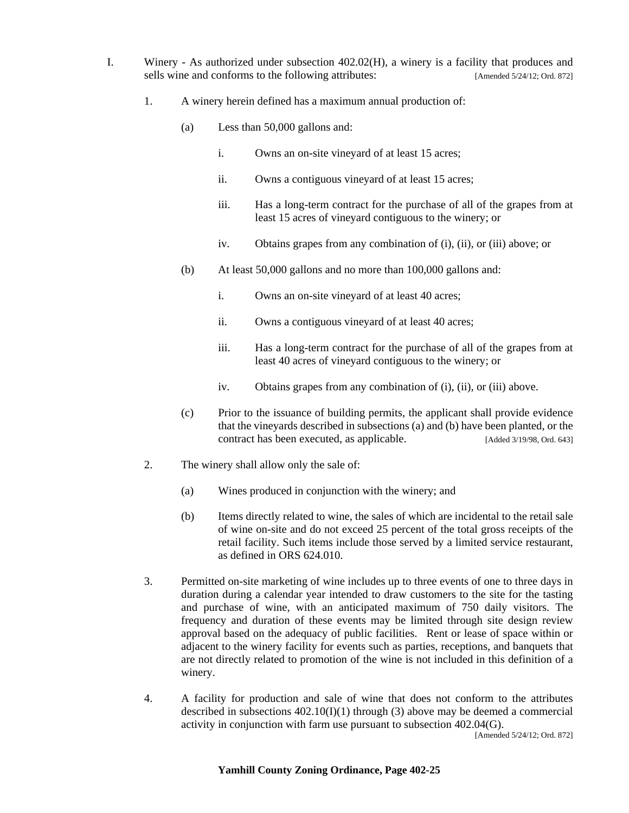- I. Winery As authorized under subsection 402.02(H), a winery is a facility that produces and sells wine and conforms to the following attributes: [Amended 5/24/12; Ord. 872]
	- 1. A winery herein defined has a maximum annual production of:
		- (a) Less than 50,000 gallons and:
			- i. Owns an on-site vineyard of at least 15 acres;
			- ii. Owns a contiguous vineyard of at least 15 acres;
			- iii. Has a long-term contract for the purchase of all of the grapes from at least 15 acres of vineyard contiguous to the winery; or
			- iv. Obtains grapes from any combination of (i), (ii), or (iii) above; or
		- (b) At least 50,000 gallons and no more than 100,000 gallons and:
			- i. Owns an on-site vineyard of at least 40 acres;
			- ii. Owns a contiguous vineyard of at least 40 acres;
			- iii. Has a long-term contract for the purchase of all of the grapes from at least 40 acres of vineyard contiguous to the winery; or
			- iv. Obtains grapes from any combination of (i), (ii), or (iii) above.
		- (c) Prior to the issuance of building permits, the applicant shall provide evidence that the vineyards described in subsections (a) and (b) have been planted, or the contract has been executed, as applicable. [Added 3/19/98, Ord. 643]
	- 2. The winery shall allow only the sale of:
		- (a) Wines produced in conjunction with the winery; and
		- (b) Items directly related to wine, the sales of which are incidental to the retail sale of wine on-site and do not exceed 25 percent of the total gross receipts of the retail facility. Such items include those served by a limited service restaurant, as defined in ORS 624.010.
	- 3. Permitted on-site marketing of wine includes up to three events of one to three days in duration during a calendar year intended to draw customers to the site for the tasting and purchase of wine, with an anticipated maximum of 750 daily visitors. The frequency and duration of these events may be limited through site design review approval based on the adequacy of public facilities. Rent or lease of space within or adjacent to the winery facility for events such as parties, receptions, and banquets that are not directly related to promotion of the wine is not included in this definition of a winery.
	- 4. A facility for production and sale of wine that does not conform to the attributes described in subsections 402.10(I)(1) through (3) above may be deemed a commercial activity in conjunction with farm use pursuant to subsection 402.04(G).

[Amended 5/24/12; Ord. 872]